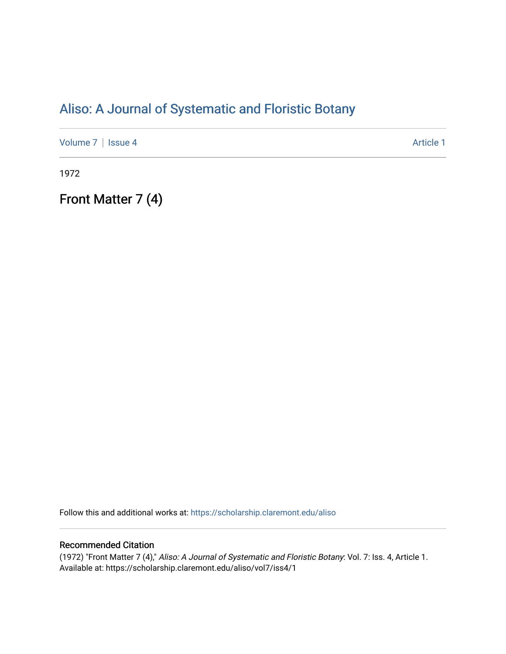# [Aliso: A Journal of Systematic and Floristic Botany](https://scholarship.claremont.edu/aliso)

[Volume 7](https://scholarship.claremont.edu/aliso/vol7) | [Issue 4](https://scholarship.claremont.edu/aliso/vol7/iss4) Article 1

1972

Front Matter 7 (4)

Follow this and additional works at: [https://scholarship.claremont.edu/aliso](https://scholarship.claremont.edu/aliso?utm_source=scholarship.claremont.edu%2Faliso%2Fvol7%2Fiss4%2F1&utm_medium=PDF&utm_campaign=PDFCoverPages) 

## Recommended Citation

(1972) "Front Matter 7 (4)," Aliso: A Journal of Systematic and Floristic Botany: Vol. 7: Iss. 4, Article 1. Available at: https://scholarship.claremont.edu/aliso/vol7/iss4/1